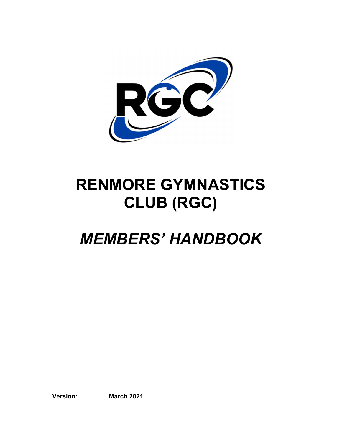

# RENMORE GYMNASTICS CLUB (RGC)

# MEMBERS' HANDBOOK

Version: March 2021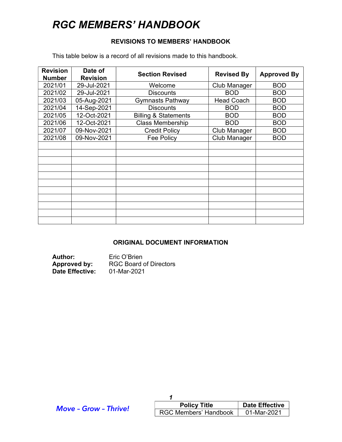#### REVISIONS TO MEMBERS' HANDBOOK

This table below is a record of all revisions made to this handbook.

| <b>Revision</b><br><b>Number</b> | Date of<br><b>Revision</b> | <b>Section Revised</b>          | <b>Revised By</b> | <b>Approved By</b> |
|----------------------------------|----------------------------|---------------------------------|-------------------|--------------------|
| 2021/01                          | 29-Jul-2021                | Welcome                         | Club Manager      | <b>BOD</b>         |
| 2021/02                          | 29-Jul-2021                | <b>Discounts</b>                | <b>BOD</b>        | <b>BOD</b>         |
| 2021/03                          | 05-Aug-2021                | <b>Gymnasts Pathway</b>         | <b>Head Coach</b> | <b>BOD</b>         |
| 2021/04                          | 14-Sep-2021                | <b>Discounts</b>                | <b>BOD</b>        | <b>BOD</b>         |
| 2021/05                          | 12-Oct-2021                | <b>Billing &amp; Statements</b> | <b>BOD</b>        | <b>BOD</b>         |
| 2021/06                          | 12-Oct-2021                | <b>Class Membership</b>         | <b>BOD</b>        | <b>BOD</b>         |
| 2021/07                          | 09-Nov-2021                | <b>Credit Policy</b>            | Club Manager      | <b>BOD</b>         |
| 2021/08                          | 09-Nov-2021                | Fee Policy                      | Club Manager      | <b>BOD</b>         |
|                                  |                            |                                 |                   |                    |
|                                  |                            |                                 |                   |                    |
|                                  |                            |                                 |                   |                    |
|                                  |                            |                                 |                   |                    |
|                                  |                            |                                 |                   |                    |
|                                  |                            |                                 |                   |                    |
|                                  |                            |                                 |                   |                    |
|                                  |                            |                                 |                   |                    |
|                                  |                            |                                 |                   |                    |
|                                  |                            |                                 |                   |                    |
|                                  |                            |                                 |                   |                    |

#### ORIGINAL DOCUMENT INFORMATION

Author: Eric O'Brien<br>
Approved by: RGC Board RGC Board of Directors Date Effective: 01-Mar-2021

| <b>Move - Grow - Thrive!</b> | <b>Policy Title</b>          | <b>Date Effective</b> |
|------------------------------|------------------------------|-----------------------|
|                              | <b>RGC Members' Handbook</b> | 01-Mar-2021           |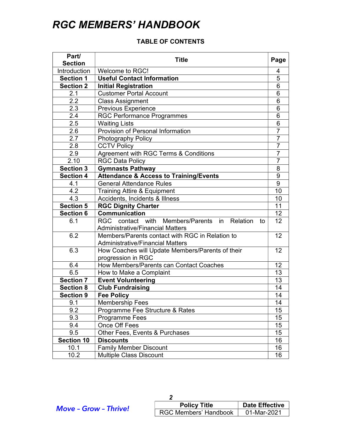### TABLE OF CONTENTS

| Part/<br><b>Section</b> | <b>Title</b>                                                                               | Page           |
|-------------------------|--------------------------------------------------------------------------------------------|----------------|
| Introduction            | Welcome to RGC!                                                                            | 4              |
| <b>Section 1</b>        | <b>Useful Contact Information</b>                                                          |                |
| <b>Section 2</b>        | <b>Initial Registration</b>                                                                | 5<br>6         |
| 2.1                     | <b>Customer Portal Account</b>                                                             | 6              |
| 2.2                     | <b>Class Assignment</b>                                                                    | 6              |
| 2.3                     | Previous Experience                                                                        | 6              |
| $\overline{2.4}$        | <b>RGC Performance Programmes</b>                                                          | 6              |
| 2.5                     | <b>Waiting Lists</b>                                                                       | $\overline{6}$ |
| 2.6                     | Provision of Personal Information                                                          | 7              |
| 2.7                     | Photography Policy                                                                         | $\overline{7}$ |
| 2.8                     | <b>CCTV Policy</b>                                                                         | $\overline{7}$ |
| 2.9                     | Agreement with RGC Terms & Conditions                                                      | $\overline{7}$ |
| 2.10                    | <b>RGC Data Policy</b>                                                                     | 7              |
| <b>Section 3</b>        | <b>Gymnasts Pathway</b>                                                                    | 8              |
| <b>Section 4</b>        | <b>Attendance &amp; Access to Training/Events</b>                                          | 9              |
| 4.1                     | <b>General Attendance Rules</b>                                                            | $\overline{9}$ |
| 4.2                     | <b>Training Attire &amp; Equipment</b>                                                     | 10             |
| 4.3                     | Accidents, Incidents & Illness                                                             | 10             |
| <b>Section 5</b>        | <b>RGC Dignity Charter</b>                                                                 | 11             |
| <b>Section 6</b>        | <b>Communication</b>                                                                       | 12             |
| 6.1                     | RGC<br>contact with Members/Parents in Relation<br>to                                      | 12             |
| 6.2                     | <b>Administrative/Financial Matters</b><br>Members/Parents contact with RGC in Relation to |                |
|                         |                                                                                            | 12             |
| 6.3                     | <b>Administrative/Financial Matters</b>                                                    | 12             |
|                         | How Coaches will Update Members/Parents of their<br>progression in RGC                     |                |
| 6.4                     | How Members/Parents can Contact Coaches                                                    | 12             |
| 6.5                     | How to Make a Complaint                                                                    | 13             |
| <b>Section 7</b>        | <b>Event Volunteering</b>                                                                  | 13             |
| <b>Section 8</b>        | <b>Club Fundraising</b>                                                                    | 14             |
| <b>Section 9</b>        | <b>Fee Policy</b>                                                                          | 14             |
| 9.1                     | <b>Membership Fees</b>                                                                     | 14             |
| 9.2                     | Programme Fee Structure & Rates                                                            | 15             |
| 9.3                     | Programme Fees                                                                             | 15             |
| 9.4                     | Once Off Fees                                                                              | 15             |
| 9.5                     | Other Fees, Events & Purchases                                                             | 15             |
| <b>Section 10</b>       | <b>Discounts</b>                                                                           | 16             |
| 10.1                    | <b>Family Member Discount</b>                                                              | 16             |
| 10.2                    | <b>Multiple Class Discount</b>                                                             | 16             |

| <b>Policy Title</b>          | <b>Date Effective</b> |
|------------------------------|-----------------------|
| <b>RGC Members' Handbook</b> | 01-Mar-2021           |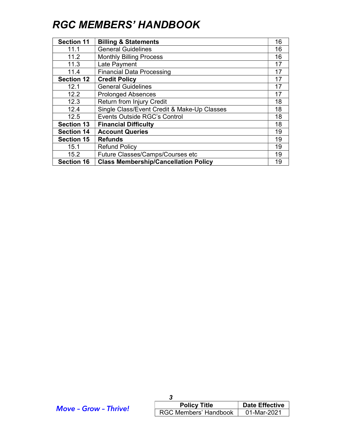| <b>Section 11</b> | <b>Billing &amp; Statements</b>             | 16 |
|-------------------|---------------------------------------------|----|
| 11.1              | <b>General Guidelines</b>                   | 16 |
| 11.2              | <b>Monthly Billing Process</b>              | 16 |
| 11.3              | Late Payment                                | 17 |
| 11.4              | <b>Financial Data Processing</b>            | 17 |
| <b>Section 12</b> | <b>Credit Policy</b>                        | 17 |
| 12.1              | <b>General Guidelines</b>                   | 17 |
| 12.2              | <b>Prolonged Absences</b>                   | 17 |
| 12.3              | Return from Injury Credit                   | 18 |
| 12.4              | Single Class/Event Credit & Make-Up Classes | 18 |
| 12.5              | <b>Events Outside RGC's Control</b>         | 18 |
| <b>Section 13</b> | <b>Financial Difficulty</b>                 | 18 |
| <b>Section 14</b> | <b>Account Queries</b>                      | 19 |
| <b>Section 15</b> | <b>Refunds</b>                              | 19 |
| 15.1              | <b>Refund Policy</b>                        | 19 |
| 15.2              | Future Classes/Camps/Courses etc            | 19 |
| <b>Section 16</b> | <b>Class Membership/Cancellation Policy</b> | 19 |

| <b>Move - Grow - Thrive!</b> | <b>Policy Title</b>                 | <b>Date Effective</b> |
|------------------------------|-------------------------------------|-----------------------|
|                              | RGC Members' Handbook   01-Mar-2021 |                       |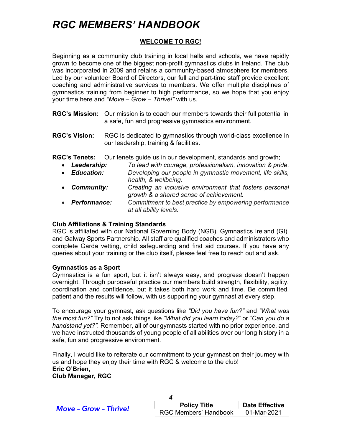### WELCOME TO RGC!

Beginning as a community club training in local halls and schools, we have rapidly grown to become one of the biggest non-profit gymnastics clubs in Ireland. The club was incorporated in 2009 and retains a community-based atmosphere for members. Led by our volunteer Board of Directors, our full and part-time staff provide excellent coaching and administrative services to members. We offer multiple disciplines of gymnastics training from beginner to high performance, so we hope that you enjoy your time here and "Move – Grow – Thrive!" with us.

- RGC's Mission: Our mission is to coach our members towards their full potential in a safe, fun and progressive gymnastics environment.
- RGC's Vision: RGC is dedicated to gymnastics through world-class excellence in our leadership, training & facilities.

RGC's Tenets: Our tenets guide us in our development, standards and growth;

- Leadership: To lead with courage, professionalism, innovation & pride.
- **Education:** Developing our people in gymnastic movement, life skills, health, & wellbeing.
- Community: Creating an inclusive environment that fosters personal growth & a shared sense of achievement.
- Performance: Commitment to best practice by empowering performance at all ability levels.

#### Club Affiliations & Training Standards

RGC is affiliated with our National Governing Body (NGB), Gymnastics Ireland (GI), and Galway Sports Partnership. All staff are qualified coaches and administrators who complete Garda vetting, child safeguarding and first aid courses. If you have any queries about your training or the club itself, please feel free to reach out and ask.

#### Gymnastics as a Sport

Gymnastics is a fun sport, but it isn't always easy, and progress doesn't happen overnight. Through purposeful practice our members build strength, flexibility, agility, coordination and confidence, but it takes both hard work and time. Be committed, patient and the results will follow, with us supporting your gymnast at every step.

To encourage your gymnast, ask questions like "Did you have fun?" and "What was the most fun?" Try to not ask things like "What did you learn today?" or "Can you do a handstand yet?". Remember, all of our gymnasts started with no prior experience, and we have instructed thousands of young people of all abilities over our long history in a safe, fun and progressive environment.

Finally, I would like to reiterate our commitment to your gymnast on their journey with us and hope they enjoy their time with RGC & welcome to the club! Eric O'Brien, Club Manager, RGC

| <b>Move - Grow - Thrive!</b> | <b>Policy Title</b>                 | <b>Date Effective</b> |
|------------------------------|-------------------------------------|-----------------------|
|                              | RGC Members' Handbook   01-Mar-2021 |                       |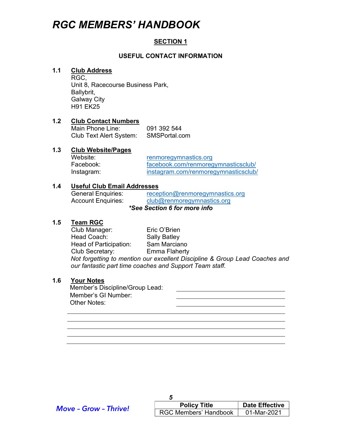#### SECTION 1

#### USEFUL CONTACT INFORMATION

#### 1.1 Club Address

 RGC, Unit 8, Racecourse Business Park, Ballybrit, Galway City H91 EK25

#### 1.2 Club Contact Numbers

 Main Phone Line: 091 392 544 Club Text Alert System: SMSPortal.com

#### 1.3 Club Website/Pages

Website: renmoregymnastics.org Facebook: facebook.com/renmoregymnasticsclub/ Instagram: instagram.com/renmoregymnasticsclub/

#### 1.4 Useful Club Email Addresses

General Enquiries: reception@renmoregymnastics.org Account Enquiries: club@renmoregymnastics.org \*See Section 6 for more info

#### 1.5 Team RGC

 Club Manager: Eric O'Brien Head Coach: Sally Batley Head of Participation: Sam Marciano Club Secretary: Emma Flaherty Not forgetting to mention our excellent Discipline & Group Lead Coaches and our fantastic part time coaches and Support Team staff.

#### 1.6 Your Notes

Member's Discipline/Group Lead: Member's GI Number: Other Notes:

| <b>Move - Grow - Thrive!</b> | <b>Policy Title</b>                 | <b>Date Effective</b> |
|------------------------------|-------------------------------------|-----------------------|
|                              | RGC Members' Handbook   01-Mar-2021 |                       |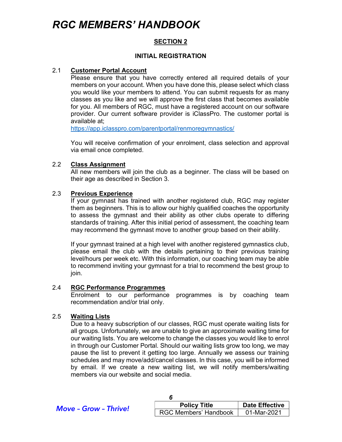#### SECTION 2

#### INITIAL REGISTRATION

#### 2.1 Customer Portal Account

 Please ensure that you have correctly entered all required details of your members on your account. When you have done this, please select which class you would like your members to attend. You can submit requests for as many classes as you like and we will approve the first class that becomes available for you. All members of RGC, must have a registered account on our software provider. Our current software provider is iClassPro. The customer portal is available at;

https://app.iclasspro.com/parentportal/renmoregymnastics/

 You will receive confirmation of your enrolment, class selection and approval via email once completed.

#### 2.2 Class Assignment

 All new members will join the club as a beginner. The class will be based on their age as described in Section 3.

#### 2.3 Previous Experience

 If your gymnast has trained with another registered club, RGC may register them as beginners. This is to allow our highly qualified coaches the opportunity to assess the gymnast and their ability as other clubs operate to differing standards of training. After this initial period of assessment, the coaching team may recommend the gymnast move to another group based on their ability.

 If your gymnast trained at a high level with another registered gymnastics club, please email the club with the details pertaining to their previous training level/hours per week etc. With this information, our coaching team may be able to recommend inviting your gymnast for a trial to recommend the best group to join.

#### 2.4 RGC Performance Programmes

 Enrolment to our performance programmes is by coaching team recommendation and/or trial only.

#### 2.5 Waiting Lists

 Due to a heavy subscription of our classes, RGC must operate waiting lists for all groups. Unfortunately, we are unable to give an approximate waiting time for our waiting lists. You are welcome to change the classes you would like to enrol in through our Customer Portal. Should our waiting lists grow too long, we may pause the list to prevent it getting too large. Annually we assess our training schedules and may move/add/cancel classes. In this case, you will be informed by email. If we create a new waiting list, we will notify members/waiting members via our website and social media.

| <b>Move - Grow - Thrive!</b> | <b>Policy Title</b>          | <b>Date Effective</b> |
|------------------------------|------------------------------|-----------------------|
|                              | <b>RGC Members' Handbook</b> | 01-Mar-2021           |

6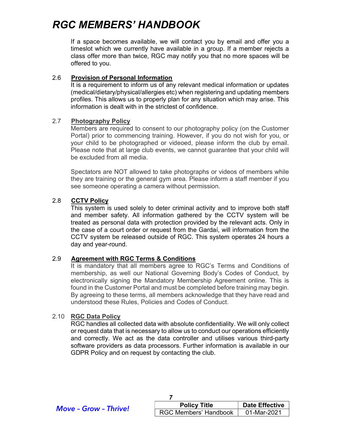If a space becomes available, we will contact you by email and offer you a timeslot which we currently have available in a group. If a member rejects a class offer more than twice, RGC may notify you that no more spaces will be offered to you.

#### 2.6 Provision of Personal Information

It is a requirement to inform us of any relevant medical information or updates (medical/dietary/physical/allergies etc) when registering and updating members profiles. This allows us to properly plan for any situation which may arise. This information is dealt with in the strictest of confidence.

#### 2.7 Photography Policy

 Members are required to consent to our photography policy (on the Customer Portal) prior to commencing training. However, if you do not wish for you, or your child to be photographed or videoed, please inform the club by email. Please note that at large club events, we cannot guarantee that your child will be excluded from all media.

Spectators are NOT allowed to take photographs or videos of members while they are training or the general gym area. Please inform a staff member if you see someone operating a camera without permission.

#### 2.8 CCTV Policy

 This system is used solely to deter criminal activity and to improve both staff and member safety. All information gathered by the CCTV system will be treated as personal data with protection provided by the relevant acts. Only in the case of a court order or request from the Gardaí, will information from the CCTV system be released outside of RGC. This system operates 24 hours a day and year-round.

#### 2.9 Agreement with RGC Terms & Conditions

It is mandatory that all members agree to RGC's Terms and Conditions of membership, as well our National Governing Body's Codes of Conduct, by electronically signing the Mandatory Membership Agreement online. This is found in the Customer Portal and must be completed before training may begin. By agreeing to these terms, all members acknowledge that they have read and understood these Rules, Policies and Codes of Conduct.

#### 2.10 RGC Data Policy

 RGC handles all collected data with absolute confidentiality. We will only collect or request data that is necessary to allow us to conduct our operations efficiently and correctly. We act as the data controller and utilises various third-party software providers as data processors. Further information is available in our GDPR Policy and on request by contacting the club.

| <b>Move - Grow - Thrive!</b> |  |
|------------------------------|--|
|------------------------------|--|

| <b>Policy Title</b>          | <b>Date Effective</b> |
|------------------------------|-----------------------|
| <b>RGC Members' Handbook</b> | 01-Mar-2021           |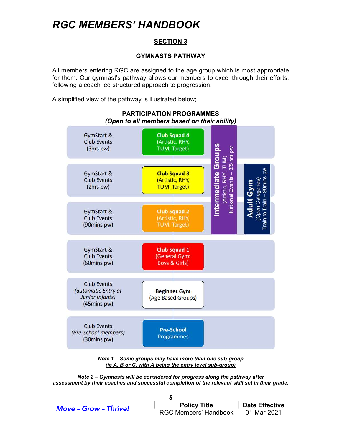#### SECTION 3

#### GYMNASTS PATHWAY

All members entering RGC are assigned to the age group which is most appropriate for them. Our gymnast's pathway allows our members to excel through their efforts, following a coach led structured approach to progression.

A simplified view of the pathway is illustrated below;



PARTICIPATION PROGRAMMES (Open to all members based on their ability)

Note 1 – Some groups may have more than one sub-group (ie A, B or C, with A being the entry level sub-group)

Note 2 – Gymnasts will be considered for progress along the pathway after assessment by their coaches and successful completion of the relevant skill set in their grade.

| <b>Move - Grow - Thrive!</b> | <b>Policy Title</b>   | <b>Date Effective</b> |  |
|------------------------------|-----------------------|-----------------------|--|
|                              | RGC Members' Handbook | 01-Mar-2021           |  |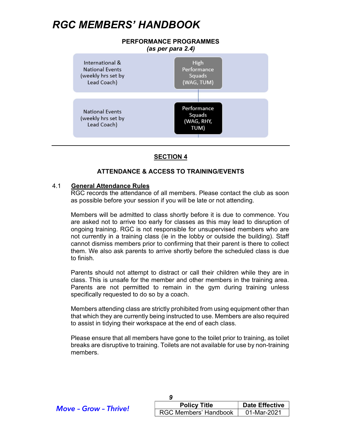

#### **SECTION 4**

#### ATTENDANCE & ACCESS TO TRAINING/EVENTS

#### 4.1 General Attendance Rules

 RGC records the attendance of all members. Please contact the club as soon as possible before your session if you will be late or not attending.

 Members will be admitted to class shortly before it is due to commence. You are asked not to arrive too early for classes as this may lead to disruption of ongoing training. RGC is not responsible for unsupervised members who are not currently in a training class (ie in the lobby or outside the building). Staff cannot dismiss members prior to confirming that their parent is there to collect them. We also ask parents to arrive shortly before the scheduled class is due to finish.

 Parents should not attempt to distract or call their children while they are in class. This is unsafe for the member and other members in the training area. Parents are not permitted to remain in the gym during training unless specifically requested to do so by a coach.

 Members attending class are strictly prohibited from using equipment other than that which they are currently being instructed to use. Members are also required to assist in tidying their workspace at the end of each class.

 Please ensure that all members have gone to the toilet prior to training, as toilet breaks are disruptive to training. Toilets are not available for use by non-training members.

| <b>Move - Grow - Thrive!</b> | <b>Policy Title</b>   | <b>Date Effective</b> |
|------------------------------|-----------------------|-----------------------|
|                              | RGC Members' Handbook | 01-Mar-2021           |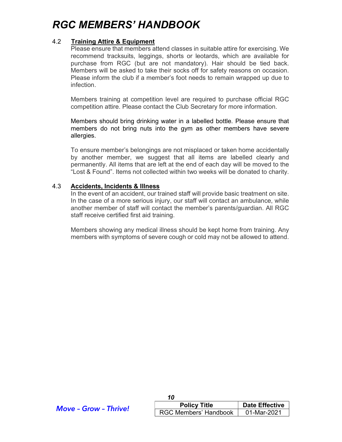#### 4.2 Training Attire & Equipment

Please ensure that members attend classes in suitable attire for exercising. We recommend tracksuits, leggings, shorts or leotards, which are available for purchase from RGC (but are not mandatory). Hair should be tied back. Members will be asked to take their socks off for safety reasons on occasion. Please inform the club if a member's foot needs to remain wrapped up due to infection.

Members training at competition level are required to purchase official RGC competition attire. Please contact the Club Secretary for more information.

 Members should bring drinking water in a labelled bottle. Please ensure that members do not bring nuts into the gym as other members have severe allergies.

To ensure member's belongings are not misplaced or taken home accidentally by another member, we suggest that all items are labelled clearly and permanently. All items that are left at the end of each day will be moved to the "Lost & Found". Items not collected within two weeks will be donated to charity.

#### 4.3 Accidents, Incidents & Illness

In the event of an accident, our trained staff will provide basic treatment on site. In the case of a more serious injury, our staff will contact an ambulance, while another member of staff will contact the member's parents/guardian. All RGC staff receive certified first aid training.

 Members showing any medical illness should be kept home from training. Any members with symptoms of severe cough or cold may not be allowed to attend.

| <b>Move - Grow - Thrive!</b> | <b>Policy Title</b>   | <b>Date Effective</b> |
|------------------------------|-----------------------|-----------------------|
|                              | RGC Members' Handbook | 01-Mar-2021           |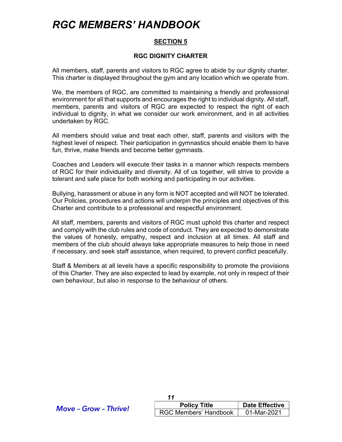#### SECTION 5

#### RGC DIGNITY CHARTER

All members, staff, parents and visitors to RGC agree to abide by our dignity charter. This charter is displayed throughout the gym and any location which we operate from.

We, the members of RGC, are committed to maintaining a friendly and professional environment for all that supports and encourages the right to individual dignity. All staff, members, parents and visitors of RGC are expected to respect the right of each individual to dignity, in what we consider our work environment, and in all activities undertaken by RGC.

All members should value and treat each other, staff, parents and visitors with the highest level of respect. Their participation in gymnastics should enable them to have fun, thrive, make friends and become better gymnasts.

Coaches and Leaders will execute their tasks in a manner which respects members of RGC for their individuality and diversity. All of us together, will strive to provide a tolerant and safe place for both working and participating in our activities.

Bullying, harassment or abuse in any form is NOT accepted and will NOT be tolerated. Our Policies, procedures and actions will underpin the principles and objectives of this Charter and contribute to a professional and respectful environment.

All staff, members, parents and visitors of RGC must uphold this charter and respect and comply with the club rules and code of conduct. They are expected to demonstrate the values of honesty, empathy, respect and inclusion at all times. All staff and members of the club should always take appropriate measures to help those in need if necessary, and seek staff assistance, when required, to prevent conflict peacefully.

Staff & Members at all levels have a specific responsibility to promote the provisions of this Charter. They are also expected to lead by example, not only in respect of their own behaviour, but also in response to the behaviour of others.

| <b>Move - Grow - Thrive!</b> | <b>Policy Title</b>          | <b>Date Effective</b> |
|------------------------------|------------------------------|-----------------------|
|                              | <b>RGC Members' Handbook</b> | 01-Mar-2021           |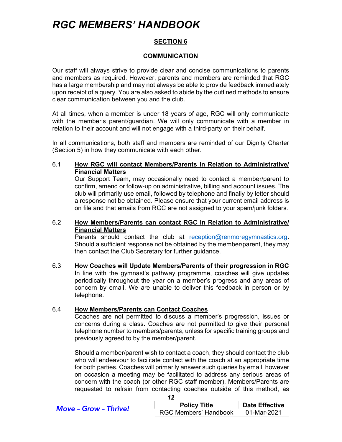#### SECTION 6

#### COMMUNICATION

Our staff will always strive to provide clear and concise communications to parents and members as required. However, parents and members are reminded that RGC has a large membership and may not always be able to provide feedback immediately upon receipt of a query. You are also asked to abide by the outlined methods to ensure clear communication between you and the club.

At all times, when a member is under 18 years of age, RGC will only communicate with the member's parent/guardian. We will only communicate with a member in relation to their account and will not engage with a third-party on their behalf.

In all communications, both staff and members are reminded of our Dignity Charter (Section 5) in how they communicate with each other.

6.1 How RGC will contact Members/Parents in Relation to Administrative/ Financial Matters

 Our Support Team, may occasionally need to contact a member/parent to confirm, amend or follow-up on administrative, billing and account issues. The club will primarily use email, followed by telephone and finally by letter should a response not be obtained. Please ensure that your current email address is on file and that emails from RGC are not assigned to your spam/junk folders.

6.2 How Members/Parents can contact RGC in Relation to Administrative/ Financial Matters

Parents should contact the club at reception@renmoregymnastics.org. Should a sufficient response not be obtained by the member/parent, they may then contact the Club Secretary for further guidance.

6.3 How Coaches will Update Members/Parents of their progression in RGC In line with the gymnast's pathway programme, coaches will give updates periodically throughout the year on a member's progress and any areas of concern by email. We are unable to deliver this feedback in person or by telephone.

#### 6.4 How Members/Parents can Contact Coaches

 Coaches are not permitted to discuss a member's progression, issues or concerns during a class. Coaches are not permitted to give their personal telephone number to members/parents, unless for specific training groups and previously agreed to by the member/parent.

 Should a member/parent wish to contact a coach, they should contact the club who will endeavour to facilitate contact with the coach at an appropriate time for both parties. Coaches will primarily answer such queries by email, however on occasion a meeting may be facilitated to address any serious areas of concern with the coach (or other RGC staff member). Members/Parents are requested to refrain from contacting coaches outside of this method, as

Date Effective

| <b>Move - Grow - Thrive!</b> | <b>Policy Title</b>          | <b>Date Effective</b> |
|------------------------------|------------------------------|-----------------------|
|                              | <b>RGC Members' Handbook</b> | 01-Mar-2021           |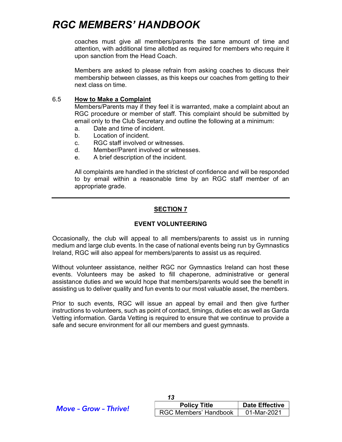coaches must give all members/parents the same amount of time and attention, with additional time allotted as required for members who require it upon sanction from the Head Coach.

 Members are asked to please refrain from asking coaches to discuss their membership between classes, as this keeps our coaches from getting to their next class on time.

#### 6.5 How to Make a Complaint

 Members/Parents may if they feel it is warranted, make a complaint about an RGC procedure or member of staff. This complaint should be submitted by email only to the Club Secretary and outline the following at a minimum:

- a. Date and time of incident.
- b. Location of incident.
- c. RGC staff involved or witnesses.
- d. Member/Parent involved or witnesses.
- e. A brief description of the incident.

All complaints are handled in the strictest of confidence and will be responded to by email within a reasonable time by an RGC staff member of an appropriate grade.

#### SECTION 7

#### EVENT VOLUNTEERING

Occasionally, the club will appeal to all members/parents to assist us in running medium and large club events. In the case of national events being run by Gymnastics Ireland, RGC will also appeal for members/parents to assist us as required.

Without volunteer assistance, neither RGC nor Gymnastics Ireland can host these events. Volunteers may be asked to fill chaperone, administrative or general assistance duties and we would hope that members/parents would see the benefit in assisting us to deliver quality and fun events to our most valuable asset, the members.

Prior to such events, RGC will issue an appeal by email and then give further instructions to volunteers, such as point of contact, timings, duties etc as well as Garda Vetting information. Garda Vetting is required to ensure that we continue to provide a safe and secure environment for all our members and guest gymnasts.

| <b>Move - Grow - Thrive!</b> | <b>Policy Title</b>   | <b>Date Effective</b> |
|------------------------------|-----------------------|-----------------------|
|                              | RGC Members' Handbook | 01-Mar-2021           |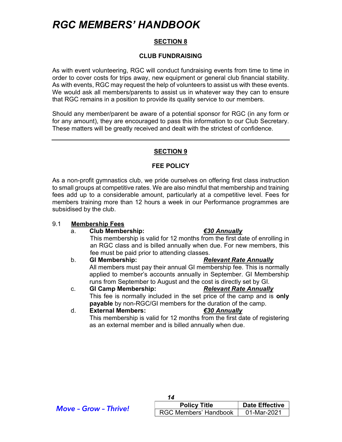#### SECTION 8

#### CLUB FUNDRAISING

As with event volunteering, RGC will conduct fundraising events from time to time in order to cover costs for trips away, new equipment or general club financial stability. As with events, RGC may request the help of volunteers to assist us with these events. We would ask all members/parents to assist us in whatever way they can to ensure that RGC remains in a position to provide its quality service to our members.

Should any member/parent be aware of a potential sponsor for RGC (in any form or for any amount), they are encouraged to pass this information to our Club Secretary. These matters will be greatly received and dealt with the strictest of confidence.

#### **SECTION 9**

#### FEE POLICY

As a non-profit gymnastics club, we pride ourselves on offering first class instruction to small groups at competitive rates. We are also mindful that membership and training fees add up to a considerable amount, particularly at a competitive level. Fees for members training more than 12 hours a week in our Performance programmes are subsidised by the club.

#### 9.1 Membership Fees

#### a. Club Membership: €30 Annually

 This membership is valid for 12 months from the first date of enrolling in an RGC class and is billed annually when due. For new members, this fee must be paid prior to attending classes.

b. GI Membership: Relevant Rate Annually All members must pay their annual GI membership fee. This is normally applied to member's accounts annually in September. GI Membership runs from September to August and the cost is directly set by GI.

c. GI Camp Membership: Relevant Rate Annually This fee is normally included in the set price of the camp and is only payable by non-RGC/GI members for the duration of the camp.

d. External Members: €30 Annually This membership is valid for 12 months from the first date of registering as an external member and is billed annually when due.

| <b>Move - Grow - Thrive!</b> | <b>Policy Title</b>   | <b>Date Effective</b> |
|------------------------------|-----------------------|-----------------------|
|                              | RGC Members' Handbook | 01-Mar-2021           |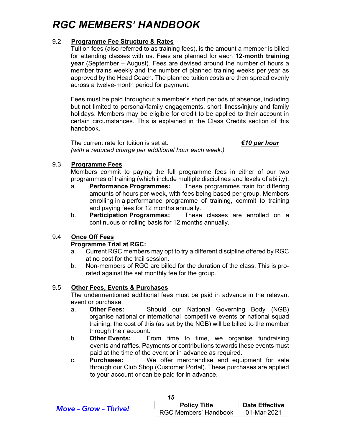#### 9.2 Programme Fee Structure & Rates

Tuition fees (also referred to as training fees), is the amount a member is billed for attending classes with us. Fees are planned for each 12-month training year (September – August). Fees are devised around the number of hours a member trains weekly and the number of planned training weeks per year as approved by the Head Coach. The planned tuition costs are then spread evenly across a twelve-month period for payment.

Fees must be paid throughout a member's short periods of absence, including but not limited to personal/family engagements, short illness/injury and family holidays. Members may be eligible for credit to be applied to their account in certain circumstances. This is explained in the Class Credits section of this handbook.

The current rate for tuition is set at:  $\epsilon$  four  $\epsilon$  four  $\epsilon$  four (with a reduced charge per additional hour each week.)

#### 9.3 Programme Fees

 Members commit to paying the full programme fees in either of our two programmes of training (which include multiple disciplines and levels of ability):

- a. Performance Programmes: These programmes train for differing amounts of hours per week, with fees being based per group. Members enrolling in a performance programme of training, commit to training and paying fees for 12 months annually.
- b. Participation Programmes: These classes are enrolled on a continuous or rolling basis for 12 months annually.

#### 9.4 Once Off Fees

#### Programme Trial at RGC:

- a. Current RGC members may opt to try a different discipline offered by RGC at no cost for the trail session.
- b. Non-members of RGC are billed for the duration of the class. This is prorated against the set monthly fee for the group.

#### 9.5 Other Fees, Events & Purchases

 The undermentioned additional fees must be paid in advance in the relevant event or purchase.

- a. Other Fees: Should our National Governing Body (NGB) organise national or international competitive events or national squad training, the cost of this (as set by the NGB) will be billed to the member through their account.
- b. Other Events: From time to time, we organise fundraising events and raffles. Payments or contributions towards these events must paid at the time of the event or in advance as required.
- c. Purchases: We offer merchandise and equipment for sale through our Club Shop (Customer Portal). These purchases are applied to your account or can be paid for in advance.

| <b>Move - Grow - Thrive!</b> | <b>Policy Title</b>          | <b>Date Effective</b> |
|------------------------------|------------------------------|-----------------------|
|                              | <b>RGC Members' Handbook</b> | 01-Mar-2021           |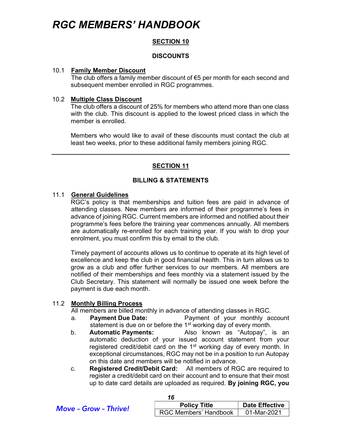#### SECTION 10

#### **DISCOUNTS**

#### 10.1 Family Member Discount

 The club offers a family member discount of €5 per month for each second and subsequent member enrolled in RGC programmes.

#### 10.2 Multiple Class Discount

 The club offers a discount of 25% for members who attend more than one class with the club. This discount is applied to the lowest priced class in which the member is enrolled.

 Members who would like to avail of these discounts must contact the club at least two weeks, prior to these additional family members joining RGC.

#### SECTION 11

#### BILLING & STATEMENTS

#### 11.1 General Guidelines

RGC's policy is that memberships and tuition fees are paid in advance of attending classes. New members are informed of their programme's fees in advance of joining RGC. Current members are informed and notified about their programme's fees before the training year commences annually. All members are automatically re-enrolled for each training year. If you wish to drop your enrolment, you must confirm this by email to the club.

 Timely payment of accounts allows us to continue to operate at its high level of excellence and keep the club in good financial health. This in turn allows us to grow as a club and offer further services to our members. All members are notified of their memberships and fees monthly via a statement issued by the Club Secretary. This statement will normally be issued one week before the payment is due each month.

#### 11.2 Monthly Billing Process

All members are billed monthly in advance of attending classes in RGC.

- a. Payment Due Date: Payment of your monthly account statement is due on or before the  $1<sup>st</sup>$  working day of every month.
- b. Automatic Payments: Also known as "Autopay", is an automatic deduction of your issued account statement from your registered credit/debit card on the 1<sup>st</sup> working day of every month. In exceptional circumstances, RGC may not be in a position to run Autopay on this date and members will be notified in advance.
- c. Registered Credit/Debit Card: All members of RGC are required to register a credit/debit card on their account and to ensure that their most up to date card details are uploaded as required. By joining RGC, you

| <b>Move - Grow - Thrive!</b> | <b>Policy Title</b>   | <b>Date Effective</b> |
|------------------------------|-----------------------|-----------------------|
|                              | RGC Members' Handbook | 01-Mar-2021           |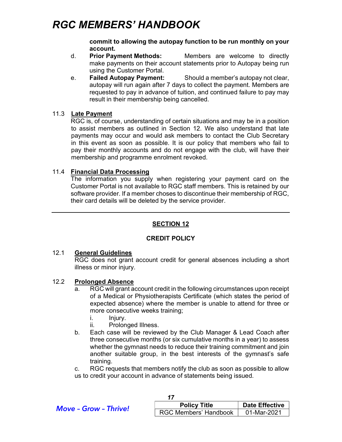commit to allowing the autopay function to be run monthly on your account.

- d. Prior Payment Methods: Members are welcome to directly make payments on their account statements prior to Autopay being run using the Customer Portal.
- e. Failed Autopay Payment: Should a member's autopay not clear, autopay will run again after 7 days to collect the payment. Members are requested to pay in advance of tuition, and continued failure to pay may result in their membership being cancelled.

#### 11.3 Late Payment

 RGC is, of course, understanding of certain situations and may be in a position to assist members as outlined in Section 12. We also understand that late payments may occur and would ask members to contact the Club Secretary in this event as soon as possible. It is our policy that members who fail to pay their monthly accounts and do not engage with the club, will have their membership and programme enrolment revoked.

#### 11.4 Financial Data Processing

 The information you supply when registering your payment card on the Customer Portal is not available to RGC staff members. This is retained by our software provider. If a member choses to discontinue their membership of RGC, their card details will be deleted by the service provider.

### SECTION 12

#### CREDIT POLICY

#### 12.1 General Guidelines

 RGC does not grant account credit for general absences including a short illness or minor injury.

#### 12.2 Prolonged Absence

- RGC will grant account credit in the following circumstances upon receipt of a Medical or Physiotherapists Certificate (which states the period of expected absence) where the member is unable to attend for three or more consecutive weeks training;
	- i. Injury.
	- ii. Prolonged Illness.
- b. Each case will be reviewed by the Club Manager & Lead Coach after three consecutive months (or six cumulative months in a year) to assess whether the gymnast needs to reduce their training commitment and join another suitable group, in the best interests of the gymnast's safe training.

 c. RGC requests that members notify the club as soon as possible to allow us to credit your account in advance of statements being issued.

| <b>Move - Grow - Thrive!</b> | <b>Policy Title</b>          | <b>Date Effective</b> |
|------------------------------|------------------------------|-----------------------|
|                              | <b>RGC Members' Handbook</b> | 01-Mar-2021           |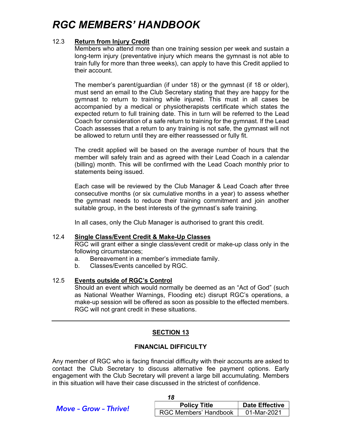#### 12.3 Return from Injury Credit

 Members who attend more than one training session per week and sustain a long-term injury (preventative injury which means the gymnast is not able to train fully for more than three weeks), can apply to have this Credit applied to their account.

 The member's parent/guardian (if under 18) or the gymnast (if 18 or older), must send an email to the Club Secretary stating that they are happy for the gymnast to return to training while injured. This must in all cases be accompanied by a medical or physiotherapists certificate which states the expected return to full training date. This in turn will be referred to the Lead Coach for consideration of a safe return to training for the gymnast. If the Lead Coach assesses that a return to any training is not safe, the gymnast will not be allowed to return until they are either reassessed or fully fit.

 The credit applied will be based on the average number of hours that the member will safely train and as agreed with their Lead Coach in a calendar (billing) month. This will be confirmed with the Lead Coach monthly prior to statements being issued.

 Each case will be reviewed by the Club Manager & Lead Coach after three consecutive months (or six cumulative months in a year) to assess whether the gymnast needs to reduce their training commitment and join another suitable group, in the best interests of the gymnast's safe training.

In all cases, only the Club Manager is authorised to grant this credit.

#### 12.4 Single Class/Event Credit & Make-Up Classes

 RGC will grant either a single class/event credit or make-up class only in the following circumstances;

- a. Bereavement in a member's immediate family.
- b. Classes/Events cancelled by RGC.

#### 12.5 Events outside of RGC's Control

 Should an event which would normally be deemed as an "Act of God" (such as National Weather Warnings, Flooding etc) disrupt RGC's operations, a make-up session will be offered as soon as possible to the effected members. RGC will not grant credit in these situations.

#### SECTION 13

#### FINANCIAL DIFFICULTY

Any member of RGC who is facing financial difficulty with their accounts are asked to contact the Club Secretary to discuss alternative fee payment options. Early engagement with the Club Secretary will prevent a large bill accumulating. Members in this situation will have their case discussed in the strictest of confidence.

| <b>Move - Grow - Thrive!</b> | <b>Policy Title</b>          | <b>Date Effective</b> |
|------------------------------|------------------------------|-----------------------|
|                              | <b>RGC Members' Handbook</b> | 01-Mar-2021           |

 $\overline{18}$